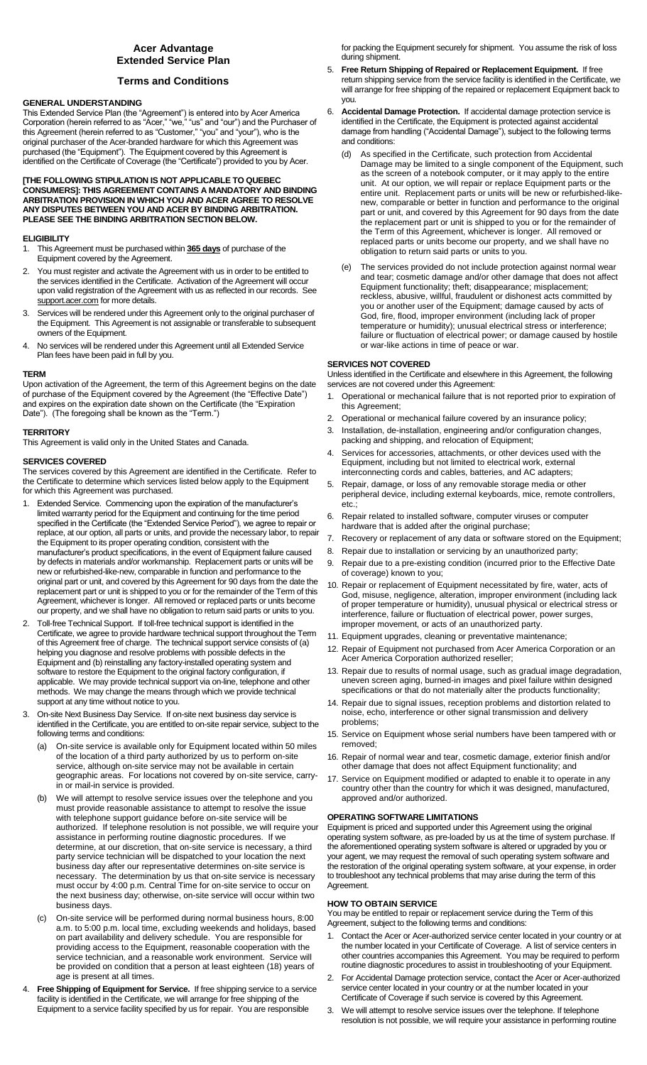# **Acer Advantage Extended Service Plan**

# **Terms and Conditions**

# **GENERAL UNDERSTANDING**

This Extended Service Plan (the "Agreement") is entered into by Acer America Corporation (herein referred to as "Acer," "we," "us" and "our") and the Purchaser of this Agreement (herein referred to as "Customer," "you" and "your"), who is the original purchaser of the Acer-branded hardware for which this Agreement was purchased (the "Equipment"). The Equipment covered by this Agreement is identified on the Certificate of Coverage (the "Certificate") provided to you by Acer.

#### **[THE FOLLOWING STIPULATION IS NOT APPLICABLE TO QUEBEC CONSUMERS]: THIS AGREEMENT CONTAINS A MANDATORY AND BINDING ARBITRATION PROVISION IN WHICH YOU AND ACER AGREE TO RESOLVE ANY DISPUTES BETWEEN YOU AND ACER BY BINDING ARBITRATION. PLEASE SEE THE BINDING ARBITRATION SECTION BELOW.**

## **ELIGIBILITY**

- 1. This Agreement must be purchased within **365 days** of purchase of the Equipment covered by the Agreement.
- 2. You must register and activate the Agreement with us in order to be entitled to the services identified in the Certificate. Activation of the Agreement will occur upon valid registration of the Agreement with us as reflected in our records. See support.acer.com for more details.
- 3. Services will be rendered under this Agreement only to the original purchaser of the Equipment. This Agreement is not assignable or transferable to subsequent owners of the Equipment.
- 4. No services will be rendered under this Agreement until all Extended Service Plan fees have been paid in full by you.

#### **TERM**

Upon activation of the Agreement, the term of this Agreement begins on the date of purchase of the Equipment covered by the Agreement (the "Effective Date") and expires on the expiration date shown on the Certificate (the "Expiration Date"). (The foregoing shall be known as the "Term.")

## **TERRITORY**

This Agreement is valid only in the United States and Canada.

#### **SERVICES COVERED**

The services covered by this Agreement are identified in the Certificate. Refer to the Certificate to determine which services listed below apply to the Equipment for which this Agreement was purchased.

- 1. Extended Service. Commencing upon the expiration of the manufacturer's limited warranty period for the Equipment and continuing for the time period specified in the Certificate (the "Extended Service Period"), we agree to repair or replace, at our option, all parts or units, and provide the necessary labor, to repair the Equipment to its proper operating condition, consistent with the manufacturer's product specifications, in the event of Equipment failure caused by defects in materials and/or workmanship. Replacement parts or units will be new or refurbished-like-new, comparable in function and performance to the original part or unit, and covered by this Agreement for 90 days from the date the replacement part or unit is shipped to you or for the remainder of the Term of this Agreement, whichever is longer. All removed or replaced parts or units become our property, and we shall have no obligation to return said parts or units to you.
- 2. Toll-free Technical Support. If toll-free technical support is identified in the Certificate, we agree to provide hardware technical support throughout the Term of this Agreement free of charge. The technical support service consists of (a) helping you diagnose and resolve problems with possible defects in the Equipment and (b) reinstalling any factory-installed operating system and software to restore the Equipment to the original factory configuration, if applicable. We may provide technical support via on-line, telephone and other methods. We may change the means through which we provide technical support at any time without notice to you.
- 3. On-site Next Business Day Service. If on-site next business day service is identified in the Certificate, you are entitled to on-site repair service, subject to the following terms and conditions:
	- (a) On-site service is available only for Equipment located within 50 miles of the location of a third party authorized by us to perform on-site service, although on-site service may not be available in certain geographic areas. For locations not covered by on-site service, carryin or mail-in service is provided.
	- We will attempt to resolve service issues over the telephone and you must provide reasonable assistance to attempt to resolve the issue with telephone support guidance before on-site service will be authorized. If telephone resolution is not possible, we will require your assistance in performing routine diagnostic procedures. If we determine, at our discretion, that on-site service is necessary, a third party service technician will be dispatched to your location the next business day after our representative determines on-site service is necessary. The determination by us that on-site service is necessary must occur by 4:00 p.m. Central Time for on-site service to occur on the next business day; otherwise, on-site service will occur within two business days.
	- On-site service will be performed during normal business hours, 8:00 a.m. to 5:00 p.m. local time, excluding weekends and holidays, based on part availability and delivery schedule. You are responsible for providing access to the Equipment, reasonable cooperation with the service technician, and a reasonable work environment. Service will be provided on condition that a person at least eighteen (18) years of age is present at all times.
- 4. **Free Shipping of Equipment for Service.** If free shipping service to a service facility is identified in the Certificate, we will arrange for free shipping of the Equipment to a service facility specified by us for repair. You are responsible

for packing the Equipment securely for shipment. You assume the risk of loss during shipment.

- 5. **Free Return Shipping of Repaired or Replacement Equipment.** If free return shipping service from the service facility is identified in the Certificate, we will arrange for free shipping of the repaired or replacement Equipment back to you.
- 6. **Accidental Damage Protection.** If accidental damage protection service is identified in the Certificate, the Equipment is protected against accidental damage from handling ("Accidental Damage"), subject to the following terms and conditions:
	- (d) As specified in the Certificate, such protection from Accidental Damage may be limited to a single component of the Equipment, such as the screen of a notebook computer, or it may apply to the entire unit. At our option, we will repair or replace Equipment parts or the entire unit. Replacement parts or units will be new or refurbished-likenew, comparable or better in function and performance to the original part or unit, and covered by this Agreement for 90 days from the date the replacement part or unit is shipped to you or for the remainder of the Term of this Agreement, whichever is longer. All removed or replaced parts or units become our property, and we shall have no obligation to return said parts or units to you.
	- (e) The services provided do not include protection against normal wear and tear; cosmetic damage and/or other damage that does not affect Equipment functionality; theft; disappearance; misplacement; reckless, abusive, willful, fraudulent or dishonest acts committed by you or another user of the Equipment; damage caused by acts of God, fire, flood, improper environment (including lack of proper temperature or humidity); unusual electrical stress or interference; failure or fluctuation of electrical power; or damage caused by hostile or war-like actions in time of peace or war.

### **SERVICES NOT COVERED**

Unless identified in the Certificate and elsewhere in this Agreement, the following services are not covered under this Agreement:

- 1. Operational or mechanical failure that is not reported prior to expiration of this Agreement;
- 2. Operational or mechanical failure covered by an insurance policy;
- 3. Installation, de-installation, engineering and/or configuration changes, packing and shipping, and relocation of Equipment;
- Services for accessories, attachments, or other devices used with the Equipment, including but not limited to electrical work, external interconnecting cords and cables, batteries, and AC adapters;
- 5. Repair, damage, or loss of any removable storage media or other peripheral device, including external keyboards, mice, remote controllers, etc.;
- 6. Repair related to installed software, computer viruses or computer hardware that is added after the original purchase;
- 7. Recovery or replacement of any data or software stored on the Equipment;
- 8. Repair due to installation or servicing by an unauthorized party;
- Repair due to a pre-existing condition (incurred prior to the Effective Date of coverage) known to you;
- 10. Repair or replacement of Equipment necessitated by fire, water, acts of God, misuse, negligence, alteration, improper environment (including lack of proper temperature or humidity), unusual physical or electrical stress or interference, failure or fluctuation of electrical power, power surges, improper movement, or acts of an unauthorized party.
- 11. Equipment upgrades, cleaning or preventative maintenance;
- 12. Repair of Equipment not purchased from Acer America Corporation or an Acer America Corporation authorized reseller;
- 13. Repair due to results of normal usage, such as gradual image degradation, uneven screen aging, burned-in images and pixel failure within designed specifications or that do not materially alter the products functionality;
- 14. Repair due to signal issues, reception problems and distortion related to noise, echo, interference or other signal transmission and delivery problems;
- 15. Service on Equipment whose serial numbers have been tampered with or removed;
- 16. Repair of normal wear and tear, cosmetic damage, exterior finish and/or other damage that does not affect Equipment functionality; and
- 17. Service on Equipment modified or adapted to enable it to operate in any country other than the country for which it was designed, manufactured, approved and/or authorized.

## **OPERATING SOFTWARE LIMITATIONS**

Equipment is priced and supported under this Agreement using the original operating system software, as pre-loaded by us at the time of system purchase. If the aforementioned operating system software is altered or upgraded by you or your agent, we may request the removal of such operating system software and the restoration of the original operating system software, at your expense, in order to troubleshoot any technical problems that may arise during the term of this Agreement.

## **HOW TO OBTAIN SERVICE**

You may be entitled to repair or replacement service during the Term of this Agreement, subject to the following terms and conditions:

- 1. Contact the Acer or Acer-authorized service center located in your country or at the number located in your Certificate of Coverage. A list of service centers in other countries accompanies this Agreement. You may be required to perform routine diagnostic procedures to assist in troubleshooting of your Equipment.
- 2. For Accidental Damage protection service, contact the Acer or Acer-authorized service center located in your country or at the number located in your Certificate of Coverage if such service is covered by this Agreement.
- 3. We will attempt to resolve service issues over the telephone. If telephone resolution is not possible, we will require your assistance in performing routine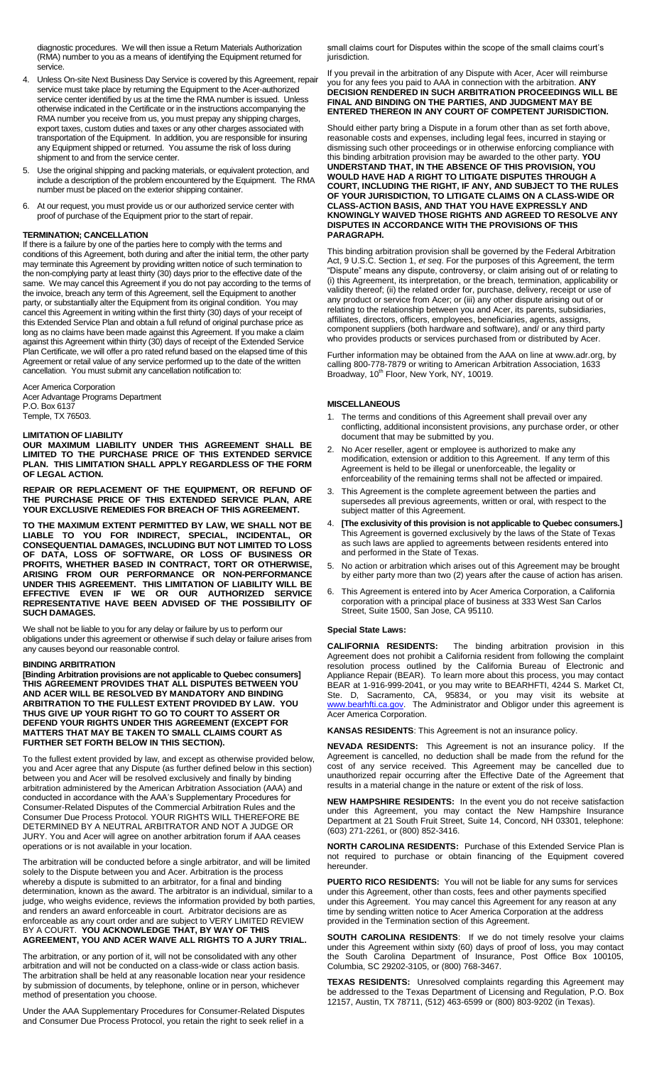diagnostic procedures. We will then issue a Return Materials Authorization (RMA) number to you as a means of identifying the Equipment returned for service.

- 4. Unless On-site Next Business Day Service is covered by this Agreement, repair service must take place by returning the Equipment to the Acer-authorized service center identified by us at the time the RMA number is issued. Unless otherwise indicated in the Certificate or in the instructions accompanying the RMA number you receive from us, you must prepay any shipping charges, export taxes, custom duties and taxes or any other charges associated with transportation of the Equipment. In addition, you are responsible for insuring any Equipment shipped or returned. You assume the risk of loss during shipment to and from the service center.
- 5. Use the original shipping and packing materials, or equivalent protection, and include a description of the problem encountered by the Equipment. The RMA number must be placed on the exterior shipping container.
- 6. At our request, you must provide us or our authorized service center with proof of purchase of the Equipment prior to the start of repair.

#### **TERMINATION; CANCELLATION**

If there is a failure by one of the parties here to comply with the terms and conditions of this Agreement, both during and after the initial term, the other party may terminate this Agreement by providing written notice of such termination to the non-complying party at least thirty (30) days prior to the effective date of the same. We may cancel this Agreement if you do not pay according to the terms of the invoice, breach any term of this Agreement, sell the Equipment to another party, or substantially alter the Equipment from its original condition. You may cancel this Agreement in writing within the first thirty (30) days of your receipt of this Extended Service Plan and obtain a full refund of original purchase price as long as no claims have been made against this Agreement. If you make a claim against this Agreement within thirty (30) days of receipt of the Extended Service Plan Certificate, we will offer a pro rated refund based on the elapsed time of this Agreement or retail value of any service performed up to the date of the written cancellation. You must submit any cancellation notification to:

### Acer America Corporation Acer Advantage Programs Department

P.O. Box 6137 Temple, TX 76503.

#### **LIMITATION OF LIABILITY**

**OUR MAXIMUM LIABILITY UNDER THIS AGREEMENT SHALL BE LIMITED TO THE PURCHASE PRICE OF THIS EXTENDED SERVICE PLAN. THIS LIMITATION SHALL APPLY REGARDLESS OF THE FORM OF LEGAL ACTION.**

**REPAIR OR REPLACEMENT OF THE EQUIPMENT, OR REFUND OF THE PURCHASE PRICE OF THIS EXTENDED SERVICE PLAN, ARE YOUR EXCLUSIVE REMEDIES FOR BREACH OF THIS AGREEMENT.** 

**TO THE MAXIMUM EXTENT PERMITTED BY LAW, WE SHALL NOT BE LIABLE TO YOU FOR INDIRECT, SPECIAL, INCIDENTAL, OR CONSEQUENTIAL DAMAGES, INCLUDING BUT NOT LIMITED TO LOSS OF DATA, LOSS OF SOFTWARE, OR LOSS OF BUSINESS OR PROFITS, WHETHER BASED IN CONTRACT, TORT OR OTHERWISE, ARISING FROM OUR PERFORMANCE OR NON-PERFORMANCE UNDER THIS AGREEMENT. THIS LIMITATION OF LIABILITY WILL BE EFFECTIVE EVEN IF WE OR OUR AUTHORIZED SERVICE REPRESENTATIVE HAVE BEEN ADVISED OF THE POSSIBILITY OF SUCH DAMAGES.** 

We shall not be liable to you for any delay or failure by us to perform our obligations under this agreement or otherwise if such delay or failure arises from any causes beyond our reasonable control.

#### **BINDING ARBITRATION**

**[Binding Arbitration provisions are not applicable to Quebec consumers] THIS AGREEMENT PROVIDES THAT ALL DISPUTES BETWEEN YOU AND ACER WILL BE RESOLVED BY MANDATORY AND BINDING ARBITRATION TO THE FULLEST EXTENT PROVIDED BY LAW. YOU THUS GIVE UP YOUR RIGHT TO GO TO COURT TO ASSERT OR DEFEND YOUR RIGHTS UNDER THIS AGREEMENT (EXCEPT FOR MATTERS THAT MAY BE TAKEN TO SMALL CLAIMS COURT AS FURTHER SET FORTH BELOW IN THIS SECTION).**

To the fullest extent provided by law, and except as otherwise provided below, you and Acer agree that any Dispute (as further defined below in this section) between you and Acer will be resolved exclusively and finally by binding arbitration administered by the American Arbitration Association (AAA) and conducted in accordance with the AAA's Supplementary Procedures for Consumer-Related Disputes of the Commercial Arbitration Rules and the Consumer Due Process Protocol. YOUR RIGHTS WILL THEREFORE BE DETERMINED BY A NEUTRAL ARBITRATOR AND NOT A JUDGE OR JURY. You and Acer will agree on another arbitration forum if AAA ceases operations or is not available in your location.

The arbitration will be conducted before a single arbitrator, and will be limited solely to the Dispute between you and Acer. Arbitration is the process whereby a dispute is submitted to an arbitrator, for a final and binding determination, known as the award. The arbitrator is an individual, similar to a judge, who weighs evidence, reviews the information provided by both parties, and renders an award enforceable in court. Arbitrator decisions are as enforceable as any court order and are subject to VERY LIMITED REVIEW BY A COURT. **YOU ACKNOWLEDGE THAT, BY WAY OF THIS AGREEMENT, YOU AND ACER WAIVE ALL RIGHTS TO A JURY TRIAL.**

The arbitration, or any portion of it, will not be consolidated with any other arbitration and will not be conducted on a class-wide or class action basis. The arbitration shall be held at any reasonable location near your residence by submission of documents, by telephone, online or in person, whichever method of presentation you choose.

Under the AAA Supplementary Procedures for Consumer-Related Disputes and Consumer Due Process Protocol, you retain the right to seek relief in a

small claims court for Disputes within the scope of the small claims court's jurisdiction.

If you prevail in the arbitration of any Dispute with Acer, Acer will reimburse you for any fees you paid to AAA in connection with the arbitration. **ANY DECISION RENDERED IN SUCH ARBITRATION PROCEEDINGS WILL BE FINAL AND BINDING ON THE PARTIES, AND JUDGMENT MAY BE ENTERED THEREON IN ANY COURT OF COMPETENT JURISDICTION.**

Should either party bring a Dispute in a forum other than as set forth above, reasonable costs and expenses, including legal fees, incurred in staying or dismissing such other proceedings or in otherwise enforcing compliance with this binding arbitration provision may be awarded to the other party. **YOU UNDERSTAND THAT, IN THE ABSENCE OF THIS PROVISION, YOU WOULD HAVE HAD A RIGHT TO LITIGATE DISPUTES THROUGH A COURT, INCLUDING THE RIGHT, IF ANY, AND SUBJECT TO THE RULES OF YOUR JURISDICTION, TO LITIGATE CLAIMS ON A CLASS-WIDE OR CLASS-ACTION BASIS, AND THAT YOU HAVE EXPRESSLY AND KNOWINGLY WAIVED THOSE RIGHTS AND AGREED TO RESOLVE ANY DISPUTES IN ACCORDANCE WITH THE PROVISIONS OF THIS PARAGRAPH.**

This binding arbitration provision shall be governed by the Federal Arbitration Act, 9 U.S.C. Section 1, *et seq*. For the purposes of this Agreement, the term "Dispute" means any dispute, controversy, or claim arising out of or relating to (i) this Agreement, its interpretation, or the breach, termination, applicability or validity thereof; (ii) the related order for, purchase, delivery, receipt or use of any product or service from Acer; or (iii) any other dispute arising out of or relating to the relationship between you and Acer, its parents, subsidiaries, affiliates, directors, officers, employees, beneficiaries, agents, assigns, component suppliers (both hardware and software), and/ or any third party who provides products or services purchased from or distributed by Acer.

Further information may be obtained from the AAA on line at www.adr.org, by calling 800-778-7879 or writing to American Arbitration Association, 1633<br>Broadway, 10<sup>th</sup> Floor, New York, NY, 10019.

## **MISCELLANEOUS**

- 1. The terms and conditions of this Agreement shall prevail over any conflicting, additional inconsistent provisions, any purchase order, or other document that may be submitted by you.
- 2. No Acer reseller, agent or employee is authorized to make any modification, extension or addition to this Agreement. If any term of this Agreement is held to be illegal or unenforceable, the legality or enforceability of the remaining terms shall not be affected or impaired.
- This Agreement is the complete agreement between the parties and supersedes all previous agreements, written or oral, with respect to the subject matter of this Agreement.
- 4. **[The exclusivity of this provision is not applicable to Quebec consumers.]**  This Agreement is governed exclusively by the laws of the State of Texas as such laws are applied to agreements between residents entered into and performed in the State of Texas.
- 5. No action or arbitration which arises out of this Agreement may be brought by either party more than two (2) years after the cause of action has arisen.
- 6. This Agreement is entered into by Acer America Corporation, a California corporation with a principal place of business at 333 West San Carlos Street, Suite 1500, San Jose, CA 95110.

#### **Special State Laws:**

**CALIFORNIA RESIDENTS:** The binding arbitration provision in this Agreement does not prohibit a California resident from following the complaint resolution process outlined by the California Bureau of Electronic and Appliance Repair (BEAR). To learn more about this process, you may contact BEAR at 1-916-999-2041, or you may write to BEARHFTI, 4244 S. Market Ct, Ste. D, Sacramento, CA, 95834, or you may visit its website at [www.bearhfti.ca.gov.](http://www.bearhfti.ca.gov/) The Administrator and Obligor under this agreement is Acer America Corporation.

**KANSAS RESIDENTS**: This Agreement is not an insurance policy.

**NEVADA RESIDENTS:** This Agreement is not an insurance policy. If the Agreement is cancelled, no deduction shall be made from the refund for the cost of any service received. This Agreement may be cancelled due to unauthorized repair occurring after the Effective Date of the Agreement that results in a material change in the nature or extent of the risk of loss.

**NEW HAMPSHIRE RESIDENTS:** In the event you do not receive satisfaction under this Agreement, you may contact the New Hampshire Insurance Department at 21 South Fruit Street, Suite 14, Concord, NH 03301, telephone: (603) 271-2261, or (800) 852-3416.

**NORTH CAROLINA RESIDENTS:** Purchase of this Extended Service Plan is not required to purchase or obtain financing of the Equipment covered hereunder.

**PUERTO RICO RESIDENTS:** You will not be liable for any sums for services under this Agreement, other than costs, fees and other payments specified under this Agreement. You may cancel this Agreement for any reason at any time by sending written notice to Acer America Corporation at the address provided in the Termination section of this Agreement.

**SOUTH CAROLINA RESIDENTS**: If we do not timely resolve your claims under this Agreement within sixty (60) days of proof of loss, you may contact the South Carolina Department of Insurance, Post Office Box 100105, Columbia, SC 29202-3105, or (800) 768-3467.

**TEXAS RESIDENTS:** Unresolved complaints regarding this Agreement may be addressed to the Texas Department of Licensing and Regulation, P.O. Box 12157, Austin, TX 78711, (512) 463-6599 or (800) 803-9202 (in Texas).